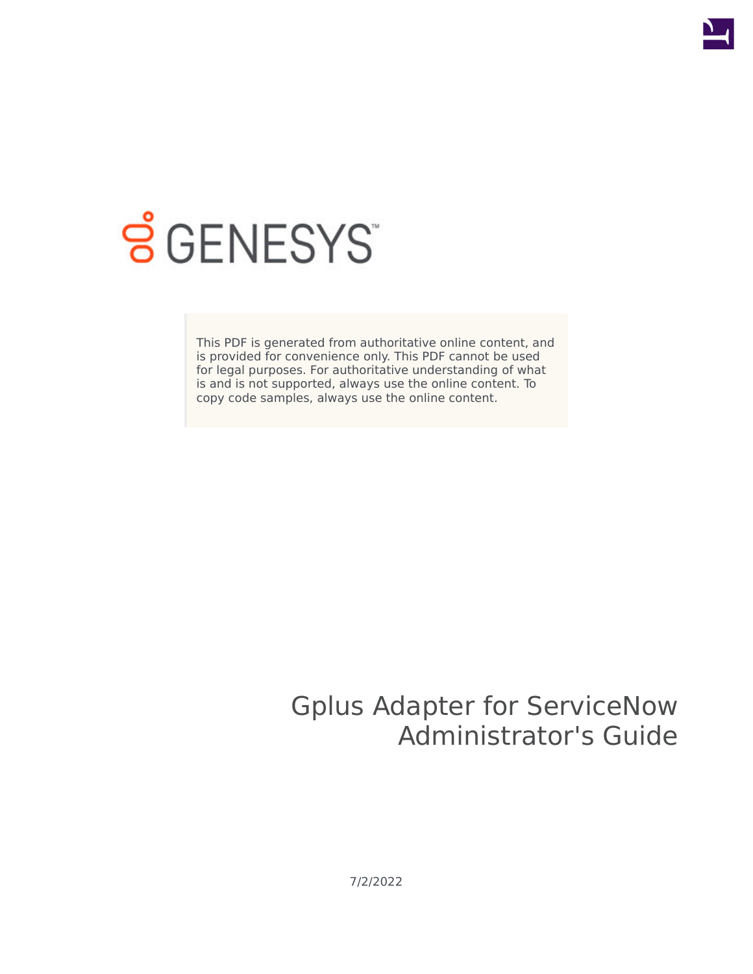

# **SGENESYS**

This PDF is generated from authoritative online content, and is provided for convenience only. This PDF cannot be used for legal purposes. For authoritative understanding of what is and is not supported, always use the online content. To copy code samples, always use the online content.

# Gplus Adapter for ServiceNow Administrator's Guide

7/2/2022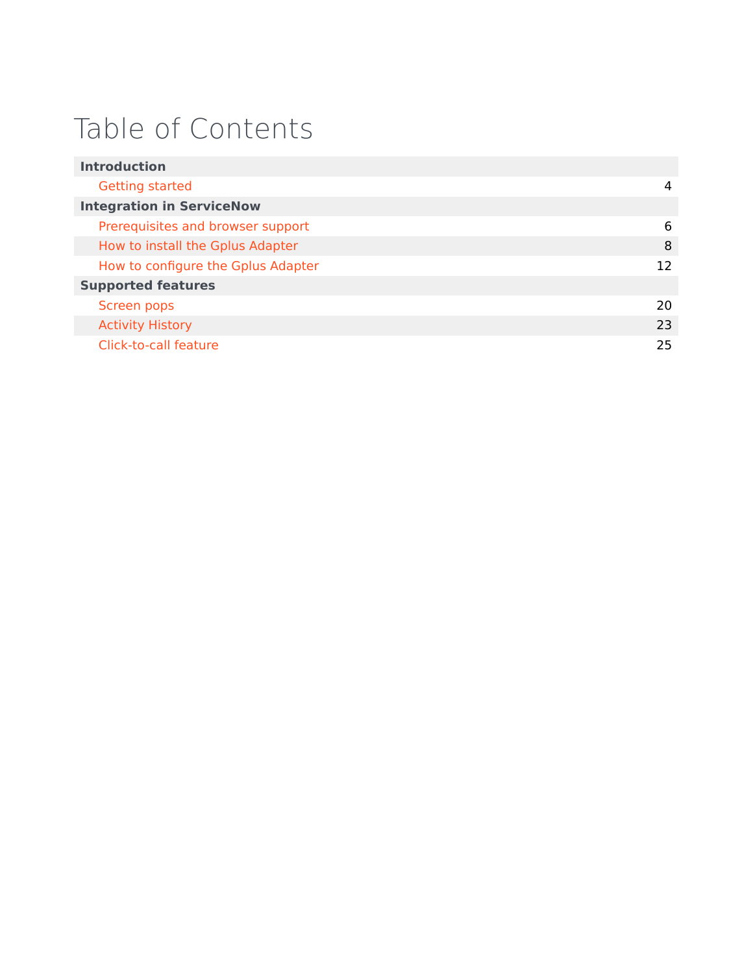# Table of Contents

| <b>Introduction</b>                |     |
|------------------------------------|-----|
| Getting started                    | 4   |
| <b>Integration in ServiceNow</b>   |     |
| Prerequisites and browser support  | 6   |
| How to install the Gplus Adapter   | 8   |
| How to configure the Gplus Adapter | 12  |
| <b>Supported features</b>          |     |
| Screen pops                        | 20. |
| <b>Activity History</b>            | 23  |
| Click-to-call feature              | 25  |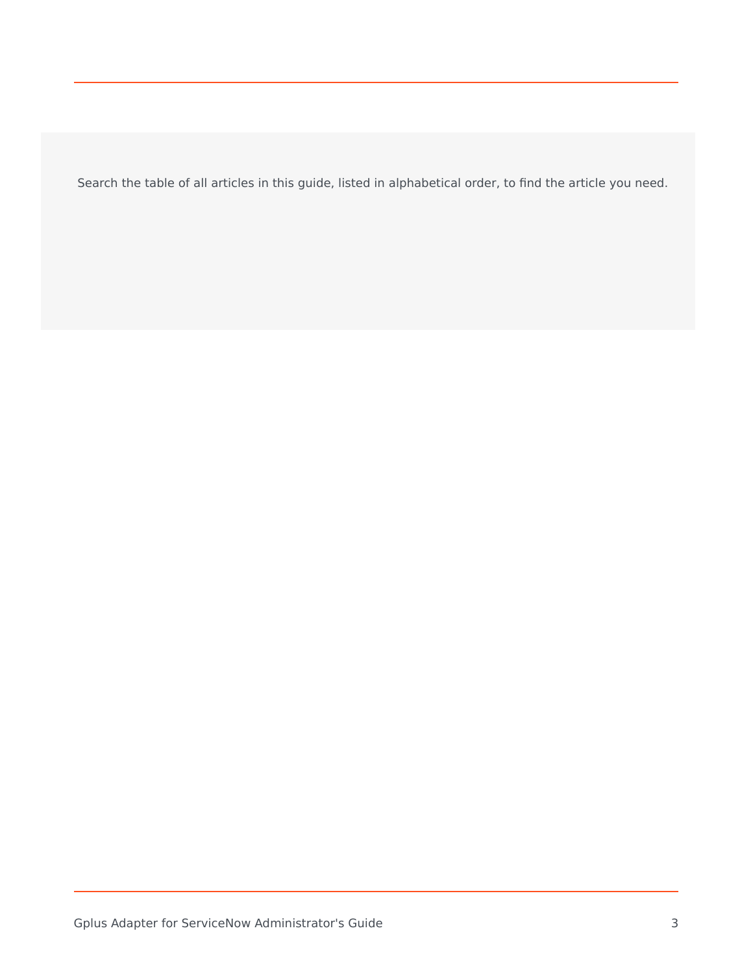Search the table of all articles in this guide, listed in alphabetical order, to find the article you need.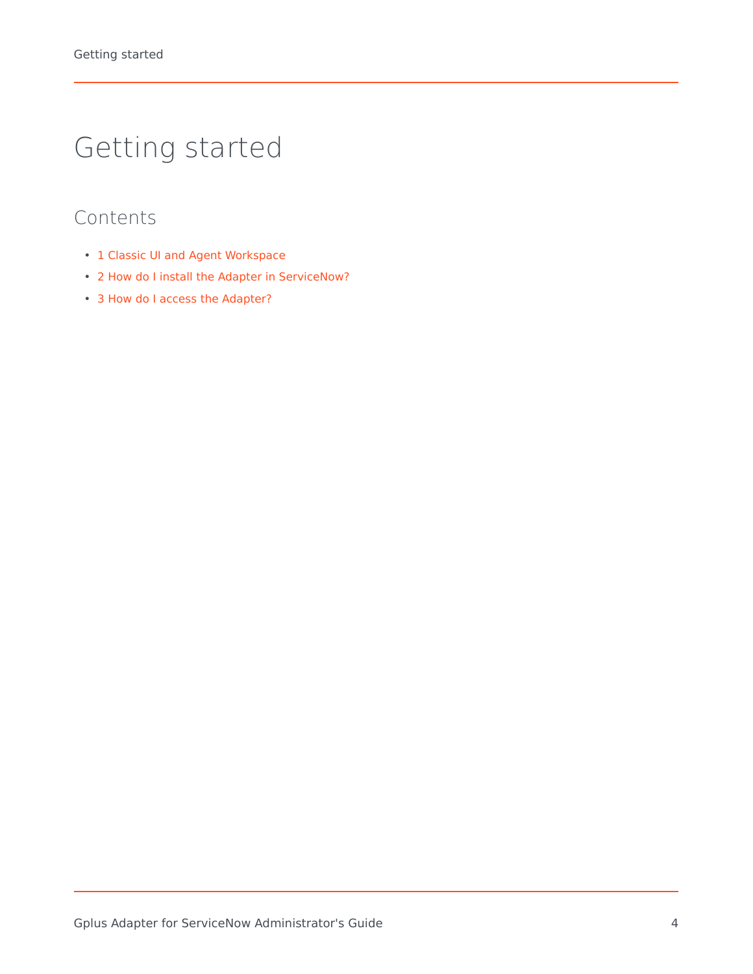# <span id="page-3-0"></span>Getting started

- 1 [Classic UI and Agent Workspace](#page-4-0)
- 2 [How do I install the Adapter in ServiceNow?](#page-4-1)
- 3 [How do I access the Adapter?](#page-4-2)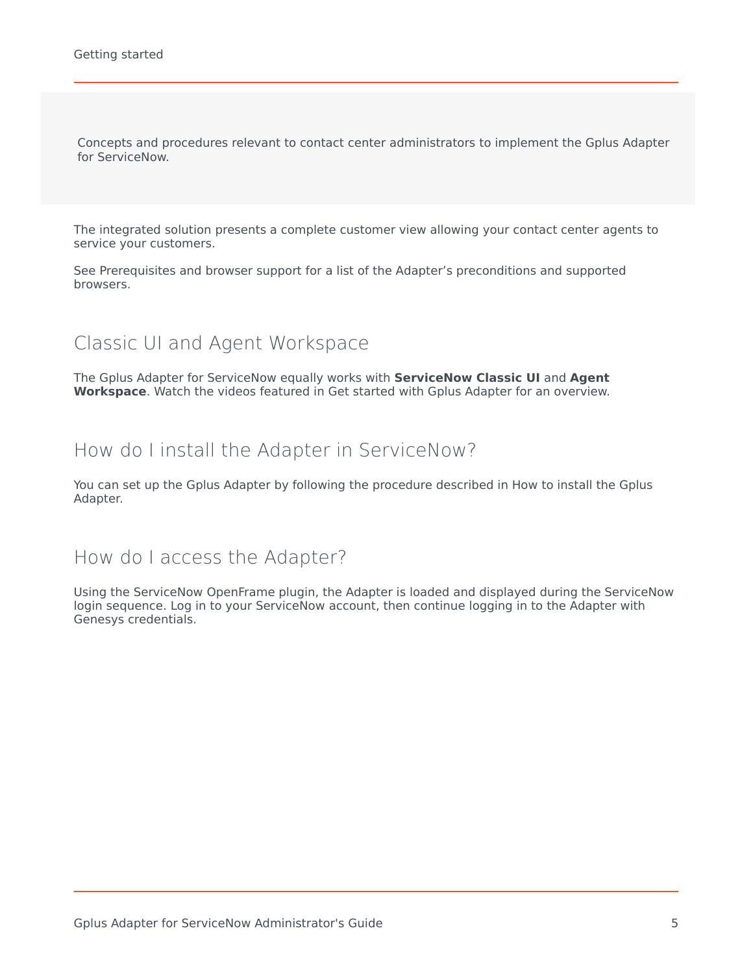Concepts and procedures relevant to contact center administrators to implement the Gplus Adapter for ServiceNow.

The integrated solution presents a complete customer view allowing your contact center agents to service your customers.

See Prerequisites and browser support for a list of the Adapter's preconditions and supported browsers.

## <span id="page-4-0"></span>Classic UI and Agent Workspace

The Gplus Adapter for ServiceNow equally works with **ServiceNow Classic UI** and **Agent Workspace**. Watch the videos featured in Get started with Gplus Adapter for an overview.

### <span id="page-4-1"></span>How do I install the Adapter in ServiceNow?

You can set up the Gplus Adapter by following the procedure described in How to install the Gplus Adapter.

### <span id="page-4-2"></span>How do I access the Adapter?

Using the ServiceNow OpenFrame plugin, the Adapter is loaded and displayed during the ServiceNow login sequence. Log in to your ServiceNow account, then continue logging in to the Adapter with Genesys credentials.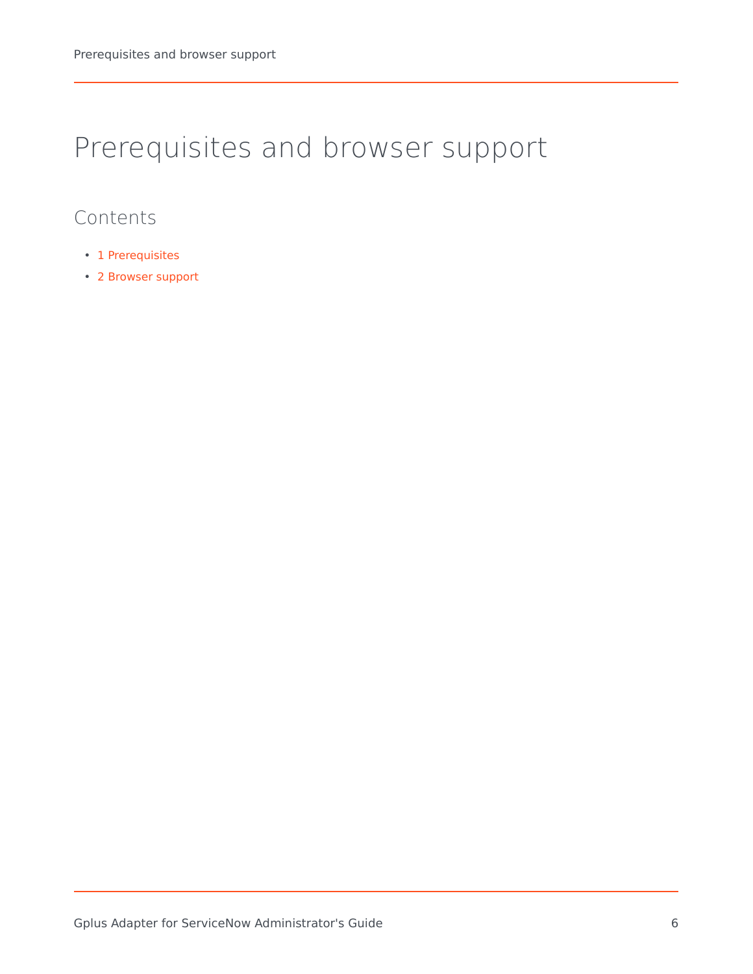# <span id="page-5-0"></span>Prerequisites and browser support

- 1 [Prerequisites](#page-6-0)
- 2 [Browser support](#page-6-1)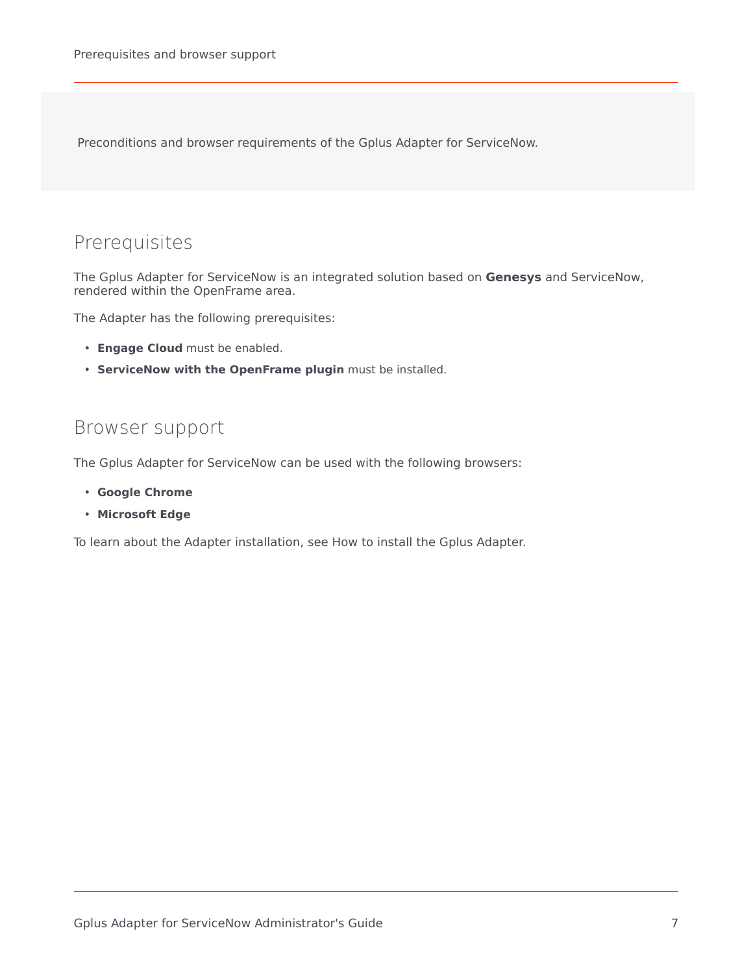Preconditions and browser requirements of the Gplus Adapter for ServiceNow.

# <span id="page-6-0"></span>Prerequisites

The Gplus Adapter for ServiceNow is an integrated solution based on **Genesys** and ServiceNow, rendered within the OpenFrame area.

The Adapter has the following prerequisites:

- **Engage Cloud** must be enabled.
- **ServiceNow with the OpenFrame plugin** must be installed.

### <span id="page-6-1"></span>Browser support

The Gplus Adapter for ServiceNow can be used with the following browsers:

- **Google Chrome**
- **Microsoft Edge**

To learn about the Adapter installation, see How to install the Gplus Adapter.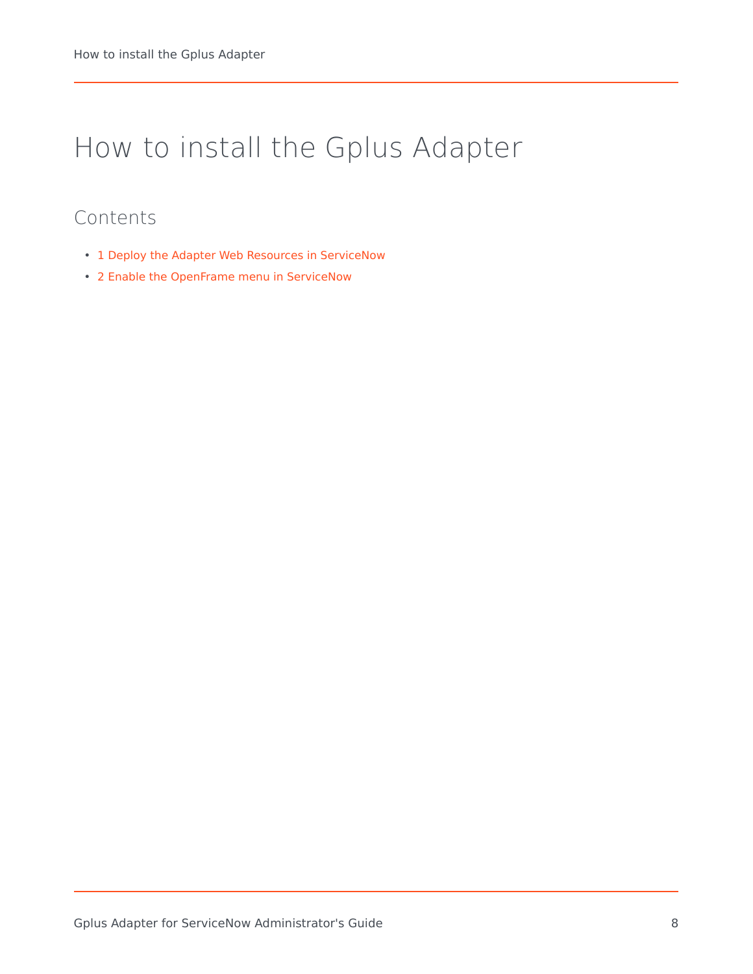# <span id="page-7-0"></span>How to install the Gplus Adapter

- 1 [Deploy the Adapter Web Resources in ServiceNow](#page-8-0)
- 2 [Enable the OpenFrame menu in ServiceNow](#page-9-0)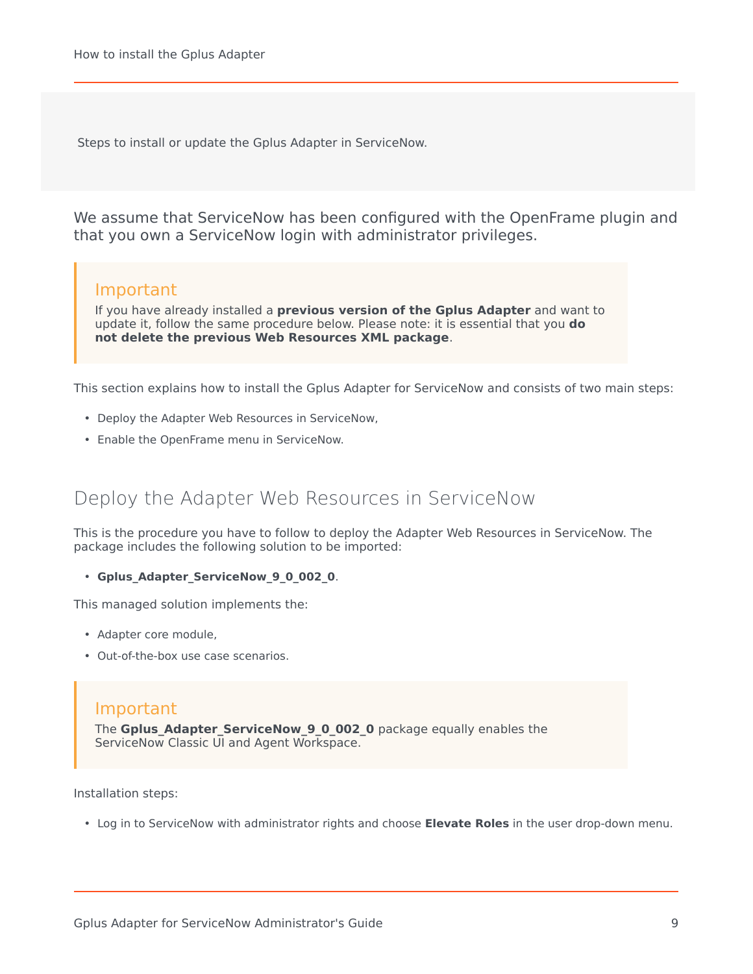Steps to install or update the Gplus Adapter in ServiceNow.

We assume that ServiceNow has been configured with the OpenFrame plugin and that you own a ServiceNow login with administrator privileges.

#### Important

If you have already installed a **previous version of the Gplus Adapter** and want to update it, follow the same procedure below. Please note: it is essential that you **do not delete the previous Web Resources XML package**.

This section explains how to install the Gplus Adapter for ServiceNow and consists of two main steps:

- Deploy the Adapter Web Resources in ServiceNow,
- Enable the OpenFrame menu in ServiceNow.

## <span id="page-8-0"></span>Deploy the Adapter Web Resources in ServiceNow

This is the procedure you have to follow to deploy the Adapter Web Resources in ServiceNow. The package includes the following solution to be imported:

• **Gplus\_Adapter\_ServiceNow\_9\_0\_002\_0**.

This managed solution implements the:

- Adapter core module,
- Out-of-the-box use case scenarios.

#### Important

The **Gplus Adapter ServiceNow 9 0 002 0** package equally enables the ServiceNow Classic UI and Agent Workspace.

Installation steps:

• Log in to ServiceNow with administrator rights and choose **Elevate Roles** in the user drop-down menu.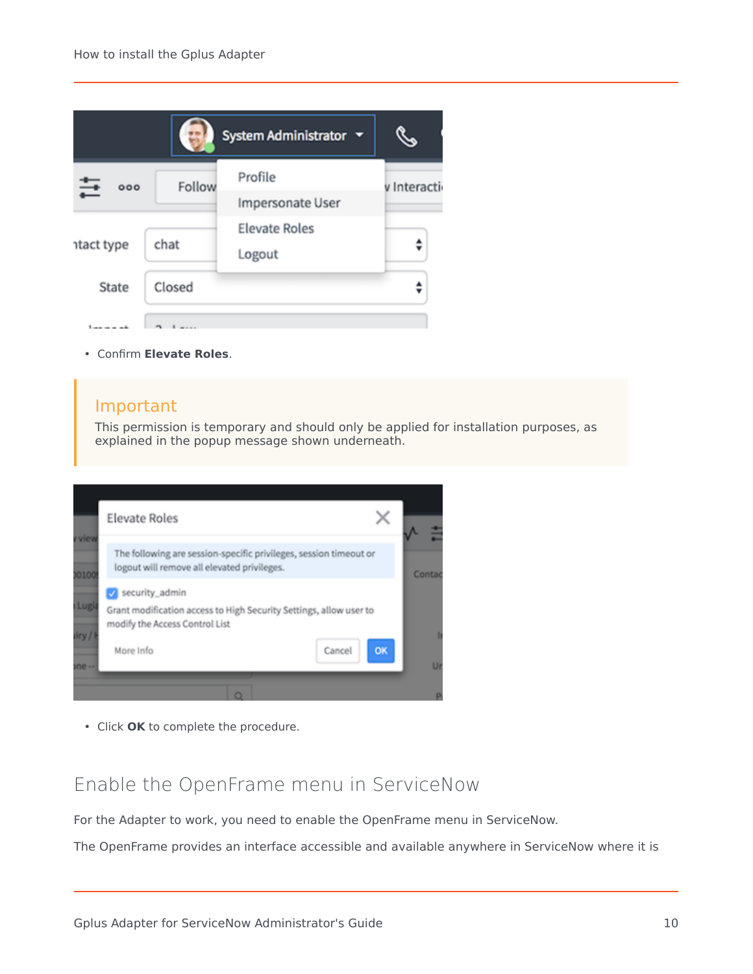

• Confirm **Elevate Roles**.

#### Important

This permission is temporary and should only be applied for installation purposes, as explained in the popup message shown underneath.



• Click **OK** to complete the procedure.

## <span id="page-9-0"></span>Enable the OpenFrame menu in ServiceNow

For the Adapter to work, you need to enable the OpenFrame menu in ServiceNow.

The OpenFrame provides an interface accessible and available anywhere in ServiceNow where it is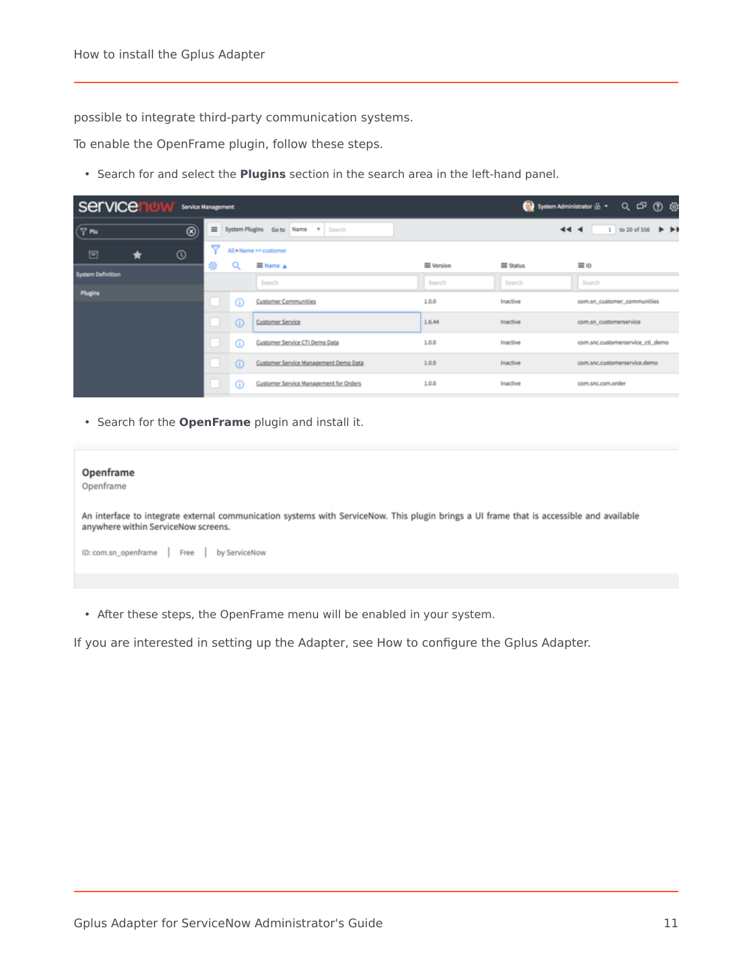possible to integrate third-party communication systems.

To enable the OpenFrame plugin, follow these steps.

• Search for and select the **Plugins** section in the search area in the left-hand panel.

| servicen<br>$Q \nightharpoonup Q \nightharpoonup Q$<br>System Administrator $\hat{\mathbf{m}}$ .<br><b>Service Management</b>      |                                    |              |                                        |                                  |                                                            |                              |
|------------------------------------------------------------------------------------------------------------------------------------|------------------------------------|--------------|----------------------------------------|----------------------------------|------------------------------------------------------------|------------------------------|
| $\sqrt{7}$ Plu<br>$\equiv$<br>$\circledcirc$<br>System Plugins Go to Name \ Search<br>$\blacktriangleleft$<br>$\blacktriangleleft$ |                                    |              |                                        |                                  | 1 to 20 of 556 $\blacktriangleright$ $\blacktriangleright$ |                              |
| $^{\circ}$<br>固<br>Ħ                                                                                                               | ᢦ                                  |              | All > Name >= customer                 |                                  |                                                            |                              |
|                                                                                                                                    | Θ                                  | Q            | $\equiv$ Name $\triangle$              | <b>E</b> Version                 | <b>Status</b>                                              | 三 ID                         |
| <b>System Definition</b>                                                                                                           |                                    |              | Search                                 | Search                           | Search                                                     | Search                       |
| Plugins                                                                                                                            |                                    |              |                                        |                                  |                                                            |                              |
|                                                                                                                                    |                                    | $\odot$      | <b>Customer Communities</b>            | 1.0.0                            | Inactive                                                   | com.sn_customer_communities  |
|                                                                                                                                    | $\odot$<br><b>Customer Service</b> |              | 1.6.44                                 | Inactive                         | com.sn_customerservice                                     |                              |
| $\odot$<br>Customer Service CTI Demo Data                                                                                          |                                    | 1.0.0        | Inactive                               | com.snc.customerservice_cti_demo |                                                            |                              |
|                                                                                                                                    |                                    | $\odot$      | Customer Service Management Demo Data  | 1.0.0                            | Inactive                                                   | com.snc.customerservice.demo |
|                                                                                                                                    |                                    | $^\circledR$ | Customer Service Management for Orders | 1.0.0                            | Inactive                                                   | com.snc.csm.order            |

• Search for the **OpenFrame** plugin and install it.

| Openframe<br>Openframe                                                                                                                                                          |
|---------------------------------------------------------------------------------------------------------------------------------------------------------------------------------|
| An interface to integrate external communication systems with ServiceNow. This plugin brings a UI frame that is accessible and available<br>anywhere within ServiceNow screens. |
| ID: com.sn_openframe Free by ServiceNow                                                                                                                                         |
|                                                                                                                                                                                 |

• After these steps, the OpenFrame menu will be enabled in your system.

If you are interested in setting up the Adapter, see How to configure the Gplus Adapter.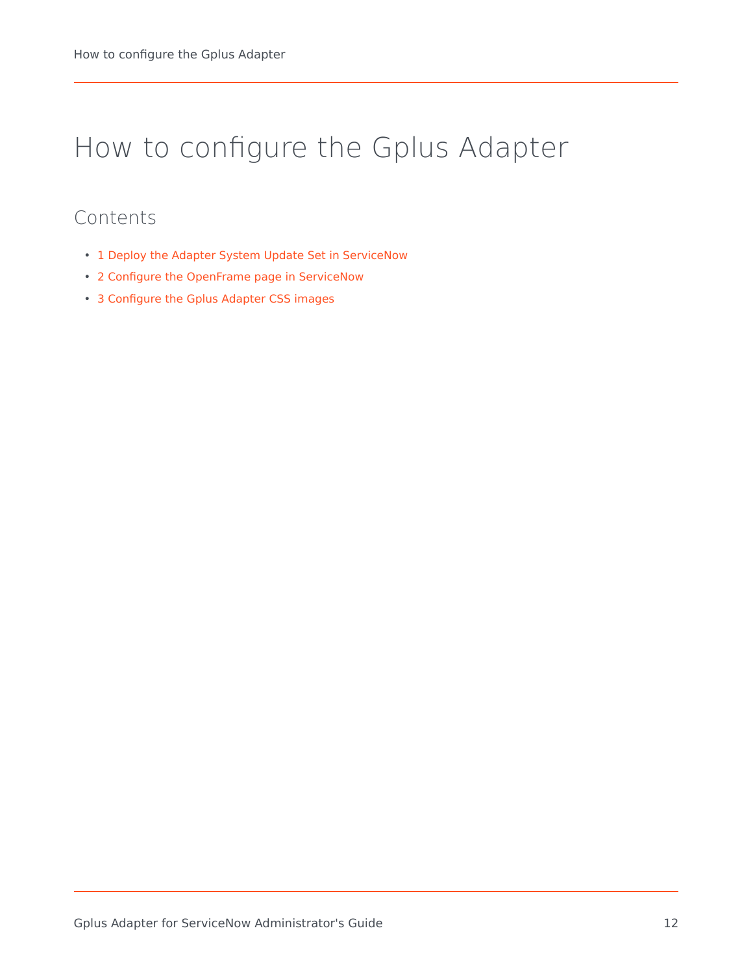# <span id="page-11-0"></span>How to configure the Gplus Adapter

- 1 [Deploy the Adapter System Update Set in ServiceNow](#page-12-0)
- 2 [Configure the OpenFrame page in ServiceNow](#page-14-0)
- 3 [Configure the Gplus Adapter CSS images](#page-16-0)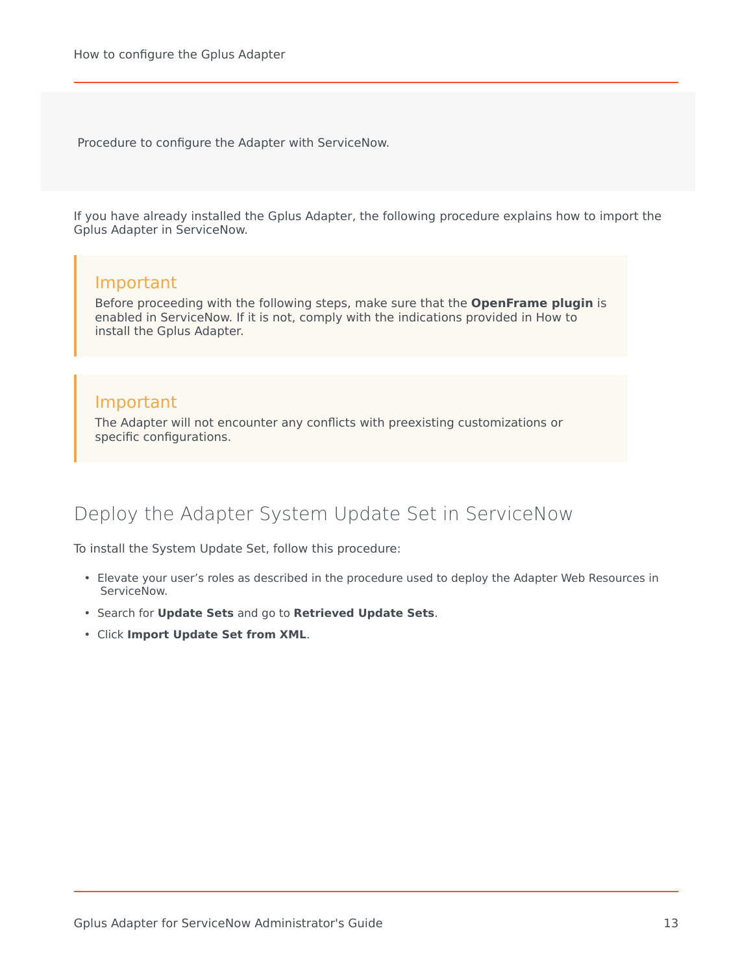Procedure to configure the Adapter with ServiceNow.

If you have already installed the Gplus Adapter, the following procedure explains how to import the Gplus Adapter in ServiceNow.

#### Important

Before proceeding with the following steps, make sure that the **OpenFrame plugin** is enabled in ServiceNow. If it is not, comply with the indications provided in How to install the Gplus Adapter.

#### Important

The Adapter will not encounter any conflicts with preexisting customizations or specific configurations.

# <span id="page-12-0"></span>Deploy the Adapter System Update Set in ServiceNow

To install the System Update Set, follow this procedure:

- Elevate your user's roles as described in the procedure used to deploy the Adapter Web Resources in ServiceNow.
- Search for **Update Sets** and go to **Retrieved Update Sets**.
- Click **Import Update Set from XML**.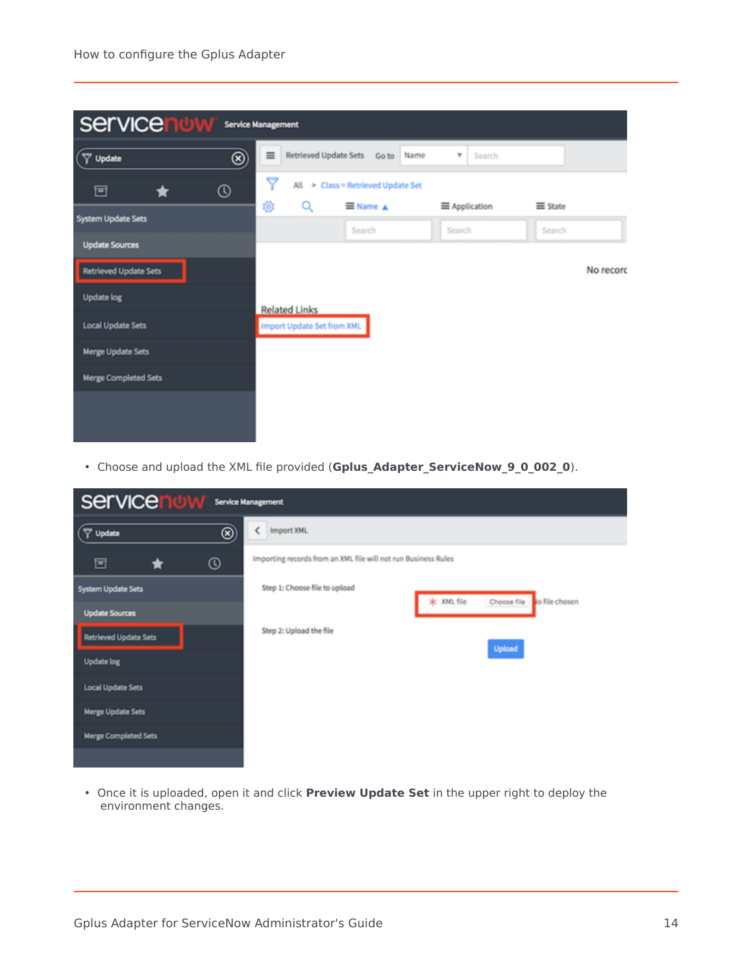

• Choose and upload the XML file provided (**Gplus\_Adapter\_ServiceNow\_9\_0\_002\_0**).

| <b>Service now</b><br><b>Service Management</b> |                                                                |  |  |  |  |
|-------------------------------------------------|----------------------------------------------------------------|--|--|--|--|
| $^\circledR$<br>$($ $\nabla$ Update             | Import XML                                                     |  |  |  |  |
| $^\circledR$<br>固                               | Importing records from an XML file will not run Business Rules |  |  |  |  |
| System Update Sets                              | Step 1: Choose file to upload                                  |  |  |  |  |
| <b>Update Sources</b>                           | * XML file<br>Choose file<br>to file chosen                    |  |  |  |  |
| <b>Retrieved Update Sets</b>                    | Step 2: Upload the file                                        |  |  |  |  |
| <b>Update log</b>                               | Upload                                                         |  |  |  |  |
| <b>Local Update Sets</b>                        |                                                                |  |  |  |  |
| <b>Merge Update Sets</b>                        |                                                                |  |  |  |  |
| <b>Merge Completed Sets</b>                     |                                                                |  |  |  |  |
|                                                 |                                                                |  |  |  |  |

• Once it is uploaded, open it and click **Preview Update Set** in the upper right to deploy the environment changes.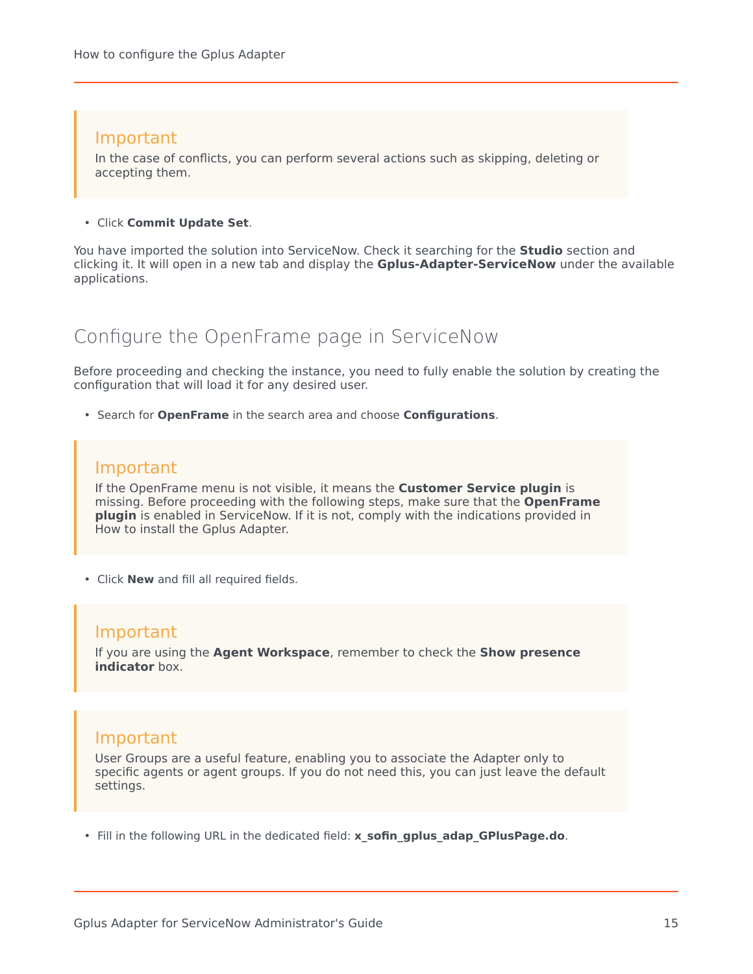#### Important

In the case of conflicts, you can perform several actions such as skipping, deleting or accepting them.

#### • Click **Commit Update Set**.

You have imported the solution into ServiceNow. Check it searching for the **Studio** section and clicking it. It will open in a new tab and display the **Gplus-Adapter-ServiceNow** under the available applications.

### <span id="page-14-0"></span>Configure the OpenFrame page in ServiceNow

Before proceeding and checking the instance, you need to fully enable the solution by creating the configuration that will load it for any desired user.

• Search for **OpenFrame** in the search area and choose **Configurations**.

#### Important

If the OpenFrame menu is not visible, it means the **Customer Service plugin** is missing. Before proceeding with the following steps, make sure that the **OpenFrame plugin** is enabled in ServiceNow. If it is not, comply with the indications provided in How to install the Gplus Adapter.

• Click **New** and fill all required fields.

#### Important

If you are using the **Agent Workspace**, remember to check the **Show presence indicator** box.

#### Important

User Groups are a useful feature, enabling you to associate the Adapter only to specific agents or agent groups. If you do not need this, you can just leave the default settings.

• Fill in the following URL in the dedicated field: **x\_sofin\_gplus\_adap\_GPlusPage.do**.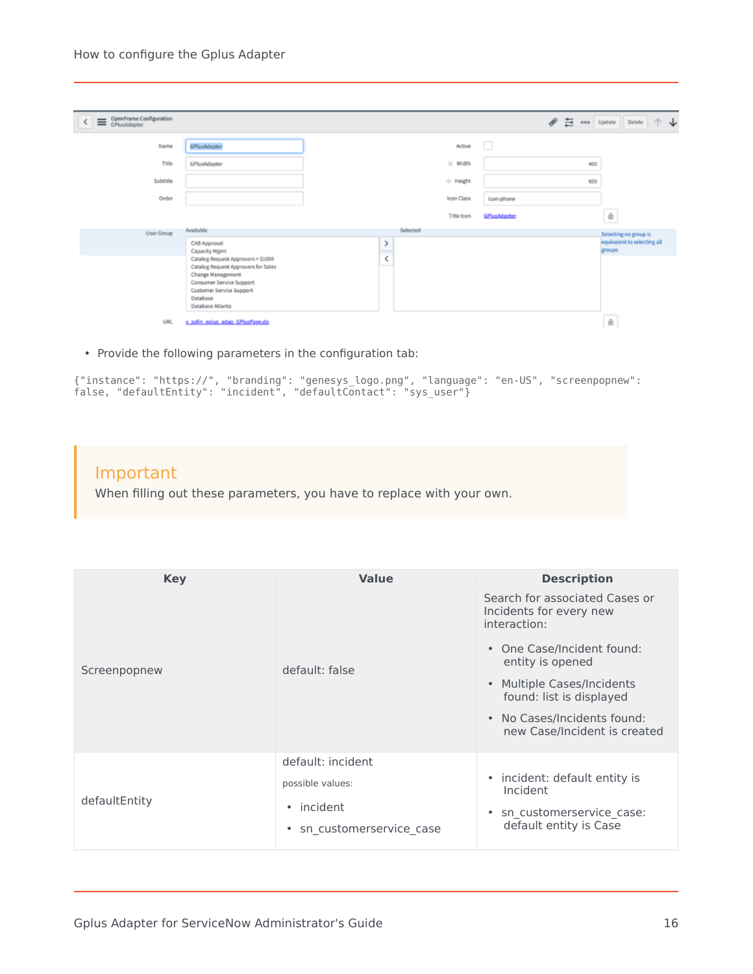#### How to configure the Gplus Adapter

| OpenFrame Configuration<br>$\overline{\phantom{a}}$ |                                                                                                                                                                                        |                               |                   | $\begin{picture}(220,20) \put(0,0){\dashbox{0.5}(5,0){ }} \thicklines \put(0,0){\dashbox{0.5}(5,0){ }} \thicklines \put(0,0){\dashbox{0.5}(5,0){ }} \thicklines \put(0,0){\dashbox{0.5}(5,0){ }} \thicklines \put(0,0){\dashbox{0.5}(5,0){ }} \thicklines \put(0,0){\dashbox{0.5}(5,0){ }} \thicklines \put(0,0){\dashbox{0.5}(5,0){ }} \thicklines \put(0,0){\dashbox{0.5}(5,0){ }} \thicklines \put(0,0){\dashbox{0.5}(5$<br>芑 | ooo Update | Delete $\uparrow \downarrow$          |
|-----------------------------------------------------|----------------------------------------------------------------------------------------------------------------------------------------------------------------------------------------|-------------------------------|-------------------|----------------------------------------------------------------------------------------------------------------------------------------------------------------------------------------------------------------------------------------------------------------------------------------------------------------------------------------------------------------------------------------------------------------------------------|------------|---------------------------------------|
| Name                                                | GPlusAdapter                                                                                                                                                                           |                               | Active            | u                                                                                                                                                                                                                                                                                                                                                                                                                                |            |                                       |
| Title                                               | GPlusAdapter                                                                                                                                                                           |                               | $*$ Width         |                                                                                                                                                                                                                                                                                                                                                                                                                                  | 400        |                                       |
| Subtitle                                            |                                                                                                                                                                                        |                               | * Height          |                                                                                                                                                                                                                                                                                                                                                                                                                                  | 600        |                                       |
| Order                                               |                                                                                                                                                                                        |                               | <b>Icon Class</b> | icon-phone                                                                                                                                                                                                                                                                                                                                                                                                                       |            |                                       |
|                                                     |                                                                                                                                                                                        |                               | Title Icon        | GPlusAdapter                                                                                                                                                                                                                                                                                                                                                                                                                     |            | $\triangle$                           |
| User Group                                          | Available                                                                                                                                                                              |                               | Selected          |                                                                                                                                                                                                                                                                                                                                                                                                                                  |            | Selecting no group is                 |
|                                                     | CAB Approval<br>Capacity Mgmt                                                                                                                                                          | $\rightarrow$                 |                   |                                                                                                                                                                                                                                                                                                                                                                                                                                  |            | equivalent to selecting all<br>groups |
|                                                     | Catalog Request Approvers > \$1000<br>Catalog Request Approvers for Sales<br>Change Management<br>Consumer Service Support<br>Customer Service Support<br>Database<br>Database Atlanta | $\overline{\left( \right. }%$ |                   |                                                                                                                                                                                                                                                                                                                                                                                                                                  |            |                                       |
| URL                                                 | x sofin gplus adap GPlusPage.do                                                                                                                                                        |                               |                   |                                                                                                                                                                                                                                                                                                                                                                                                                                  |            | ⊛                                     |

• Provide the following parameters in the configuration tab:

```
{"instance": "https://", "branding": "genesys_logo.png", "language": "en-US", "screenpopnew":
false, "defaultEntity": "incident", "defaultContact": "sys_user"}
```
#### Important

When filling out these parameters, you have to replace with your own.

| <b>Key</b>    | <b>Value</b>                                                                   | <b>Description</b>                                                                                                                                                                                                                                   |
|---------------|--------------------------------------------------------------------------------|------------------------------------------------------------------------------------------------------------------------------------------------------------------------------------------------------------------------------------------------------|
| Screenpopnew  | default: false                                                                 | Search for associated Cases or<br>Incidents for every new<br>interaction:<br>• One Case/Incident found:<br>entity is opened<br>• Multiple Cases/Incidents<br>found: list is displayed<br>• No Cases/Incidents found:<br>new Case/Incident is created |
| defaultEntity | default: incident<br>possible values:<br>• incident<br>sn customerservice case | • incident: default entity is<br>Incident<br>sn customerservice case:<br>$\bullet$<br>default entity is Case                                                                                                                                         |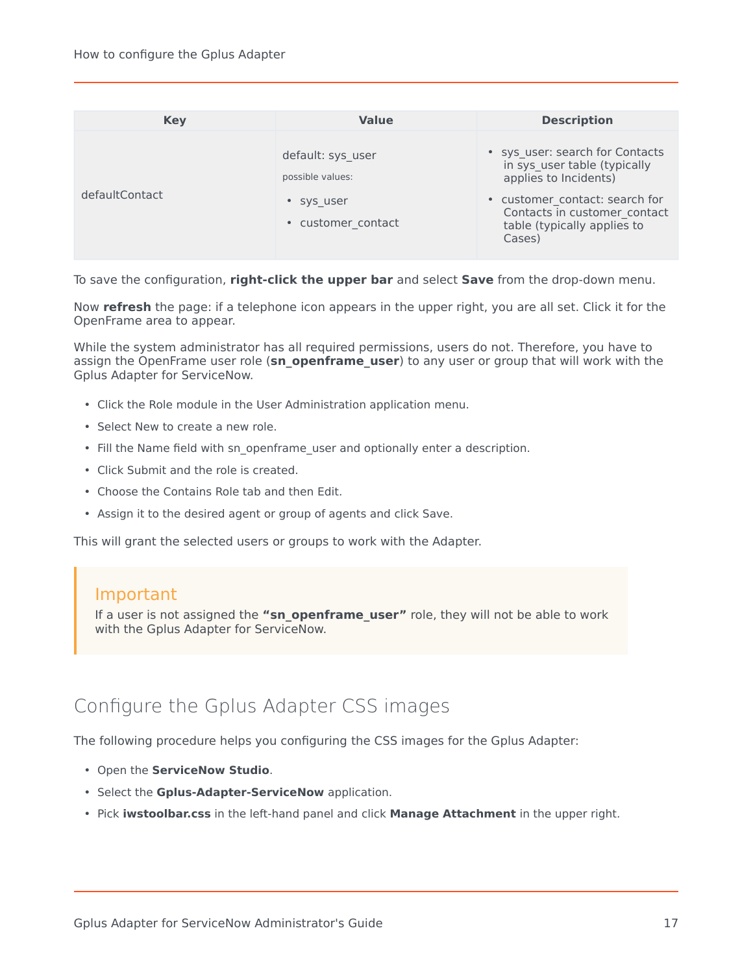| <b>Key</b>     | <b>Value</b>                                                              | <b>Description</b>                                                                                                                                                                                  |
|----------------|---------------------------------------------------------------------------|-----------------------------------------------------------------------------------------------------------------------------------------------------------------------------------------------------|
| defaultContact | default: sys user<br>possible values:<br>• sys user<br>• customer contact | · sys_user: search for Contacts<br>in sys user table (typically<br>applies to Incidents)<br>• customer contact: search for<br>Contacts in customer contact<br>table (typically applies to<br>Cases) |

To save the configuration, **right-click the upper bar** and select **Save** from the drop-down menu.

Now **refresh** the page: if a telephone icon appears in the upper right, you are all set. Click it for the OpenFrame area to appear.

While the system administrator has all required permissions, users do not. Therefore, you have to assign the OpenFrame user role (**sn\_openframe\_user**) to any user or group that will work with the Gplus Adapter for ServiceNow.

- Click the Role module in the User Administration application menu.
- Select New to create a new role.
- Fill the Name field with sn\_openframe\_user and optionally enter a description.
- Click Submit and the role is created.
- Choose the Contains Role tab and then Edit.
- Assign it to the desired agent or group of agents and click Save.

This will grant the selected users or groups to work with the Adapter.

#### Important

If a user is not assigned the **"sn\_openframe\_user"** role, they will not be able to work with the Gplus Adapter for ServiceNow.

# <span id="page-16-0"></span>Configure the Gplus Adapter CSS images

The following procedure helps you configuring the CSS images for the Gplus Adapter:

- Open the **ServiceNow Studio**.
- Select the **Gplus-Adapter-ServiceNow** application.
- Pick **iwstoolbar.css** in the left-hand panel and click **Manage Attachment** in the upper right.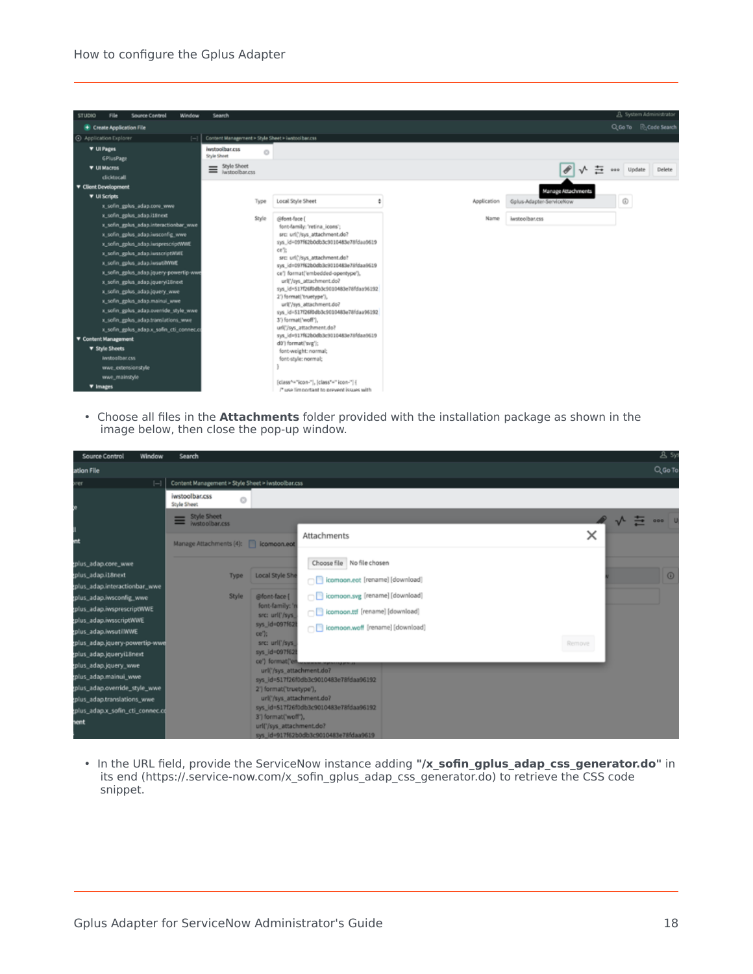#### How to configure the Gplus Adapter



• Choose all files in the **Attachments** folder provided with the installation package as shown in the image below, then close the pop-up window.

| <b>Source Control</b><br>Window                                                                                                                                                                                                                                                                                                                                                                        | Search                                                                                                                                                                                                                                                           |                                                                                                                                                                                                                                                                                                                                                                    | <b>&amp;</b> Sys    |
|--------------------------------------------------------------------------------------------------------------------------------------------------------------------------------------------------------------------------------------------------------------------------------------------------------------------------------------------------------------------------------------------------------|------------------------------------------------------------------------------------------------------------------------------------------------------------------------------------------------------------------------------------------------------------------|--------------------------------------------------------------------------------------------------------------------------------------------------------------------------------------------------------------------------------------------------------------------------------------------------------------------------------------------------------------------|---------------------|
| ation File                                                                                                                                                                                                                                                                                                                                                                                             |                                                                                                                                                                                                                                                                  |                                                                                                                                                                                                                                                                                                                                                                    | Q Go To             |
| $[-]$<br>yer                                                                                                                                                                                                                                                                                                                                                                                           | Content Management > Style Sheet > iwstoolbar.css                                                                                                                                                                                                                |                                                                                                                                                                                                                                                                                                                                                                    |                     |
|                                                                                                                                                                                                                                                                                                                                                                                                        | iwstoolbar.css<br>Ō<br>Style Sheet                                                                                                                                                                                                                               |                                                                                                                                                                                                                                                                                                                                                                    |                     |
| mt                                                                                                                                                                                                                                                                                                                                                                                                     | <b>Style Sheet</b><br>Style Sheet<br>Manage Attachments (4):   icomoon.eot                                                                                                                                                                                       | ×<br>Attachments                                                                                                                                                                                                                                                                                                                                                   | $\rightarrow$ 000 U |
| plus_adap.core_wwe<br>plus_adap.i18next<br>plus_adap.interactionbar_wwe<br>plus_adap.iwsconfig_wwe<br>plus_adap.iwsprescriptWWE<br>plus_adap.iwsscriptWWE<br>plus_adap.iwsutilWWE<br>plus_adap.jquery-powertip-wwe<br>plus_adap.jqueryi18next<br>plus_adap.jquery_wwe<br>plus_adap.mainui_wwe<br>plus_adap.override_style_wwe<br>plus_adap.translations_wwe<br>plus_adap.x_sofin_cti_connec.cd<br>hent | <b>Local Style She</b><br><b>Type</b><br>Style<br>@font-face {<br>font-family:"<br>src: url('/sys)<br>sys_id=097f62<br>ce');<br>src: url('/sys<br>sys_id=097f62<br>ce') format('er<br>2') format('truetype'),<br>3') format('woff'),<br>url('/sys_attachment.do? | Choose file No file chosen<br>comoon.ect [rename] [download]<br>comoon.svg [rename] [download]<br>comoon.ttf [rename] [download]<br>comoon.woff [rename] [download]<br>Remove<br>url('/sys_attachment.do?<br>sys_id=517f26f0db3c9010483e78fdaa96192<br>url('/sys_attachment.do?<br>sys_id=517f26f0db3c9010483e78fdaa96192<br>sys_id=917f62b0db3c9010483e78fdaa9619 | $\circ$             |

• In the URL field, provide the ServiceNow instance adding **"/x\_sofin\_gplus\_adap\_css\_generator.do"** in its end (https://.service-now.com/x\_sofin\_gplus\_adap\_css\_generator.do) to retrieve the CSS code snippet.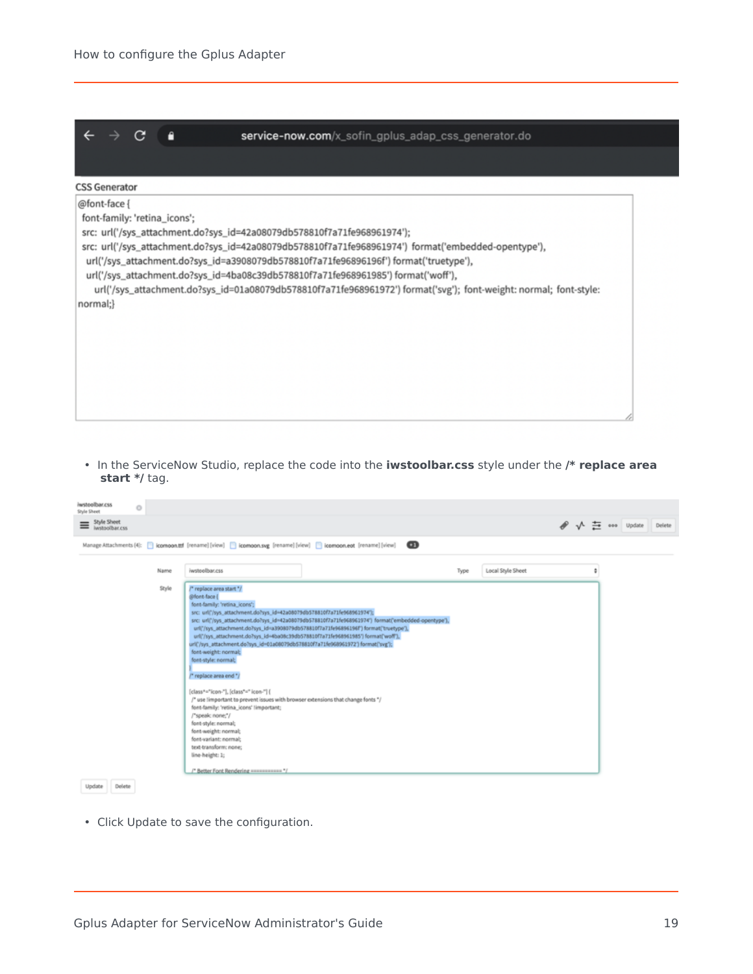

• In the ServiceNow Studio, replace the code into the **iwstoolbar.css** style under the **/\* replace area start \*/** tag.

| iwstoolbar.css<br>O<br>Style Sheet |                                                                                                                                                                                                                                                                                                                                                                                                                                                                                                                                                                                                                                                                                                                                                                                                                                                                                                                       |                           |                                            |
|------------------------------------|-----------------------------------------------------------------------------------------------------------------------------------------------------------------------------------------------------------------------------------------------------------------------------------------------------------------------------------------------------------------------------------------------------------------------------------------------------------------------------------------------------------------------------------------------------------------------------------------------------------------------------------------------------------------------------------------------------------------------------------------------------------------------------------------------------------------------------------------------------------------------------------------------------------------------|---------------------------|--------------------------------------------|
| Style Sheet                        |                                                                                                                                                                                                                                                                                                                                                                                                                                                                                                                                                                                                                                                                                                                                                                                                                                                                                                                       |                           | $\mathscr{P}$ $\sqrt{2}$ soo Update Defete |
|                                    | $\mathbf{a}$<br>Manage Attachments (4): <a>[<a>  komoon.ttf [rename] [view] <a>[ komoon.svg [rename] [view] <a>[ comoon.eot [rename] [view]</a></a></a></a>                                                                                                                                                                                                                                                                                                                                                                                                                                                                                                                                                                                                                                                                                                                                                           |                           |                                            |
| Name                               | iwstoolbar.css                                                                                                                                                                                                                                                                                                                                                                                                                                                                                                                                                                                                                                                                                                                                                                                                                                                                                                        | Local Style Sheet<br>Type |                                            |
| Style                              | /* replace area start */<br>@font-face (<br>font-family: 'retina_icons';<br>src: url('/sys_attachment.do?sys_id=42a08079db578810f7a71fe968961974');<br>src: url/'/sys_attachment.do?sys_id=42a08079db578810f7a71fe968961974') format('embedded-opentype'),<br>urli"/sys_attachment.do?sys_id=a3908079db578810f7a71fe96896196f") format('truetype'),<br>urli"/sys_attachment.do?sys_id=4ba08c39db578810f7a71fe968961985') format('woff'),<br>url('/sys_attachment.do?sys_id=01a08079db578810f7a71fe968961972') format('svg');<br>font-weight: normal;<br>font-style: normal;<br>/* replace area end */<br>[class^="icon-"], [class*=" icon-"] {<br>/* use limportant to prevent issues with browser extensions that change fonts */<br>font-family: 'retina_icons' limportant;<br>/*speak: none;*/<br>font-style: normal;<br>font-weight: normal;<br>font-variant: normal;<br>text-transform: none;<br>line-height: 1; |                           |                                            |

• Click Update to save the configuration.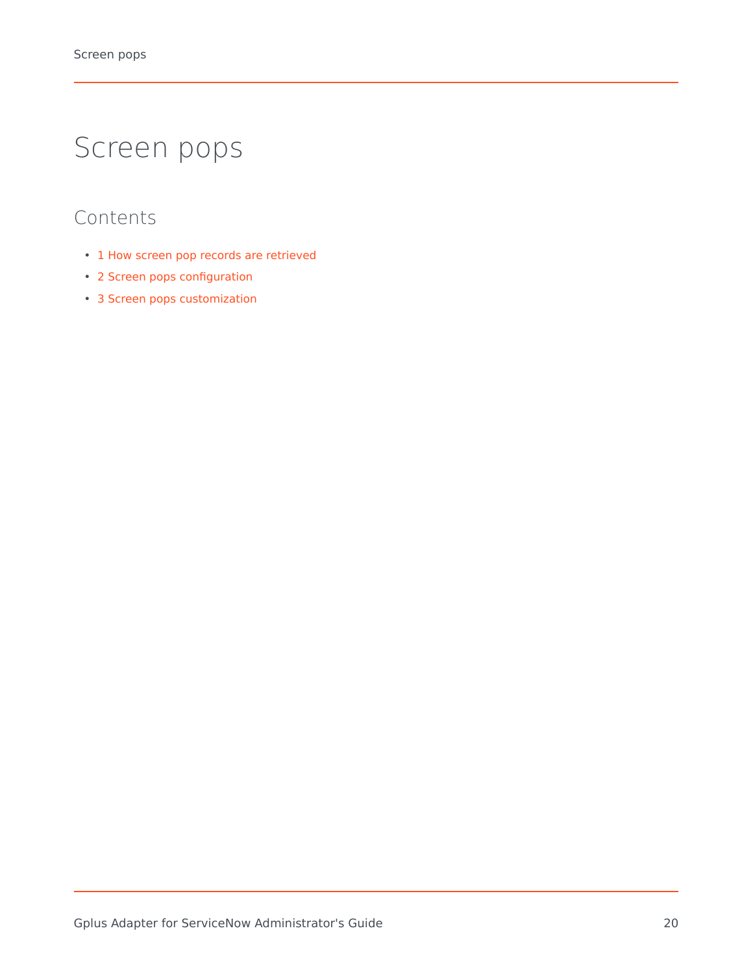# <span id="page-19-0"></span>Screen pops

- 1 [How screen pop records are retrieved](#page-20-0)
- 2 [Screen pops configuration](#page-20-1)
- 3 [Screen pops customization](#page-20-2)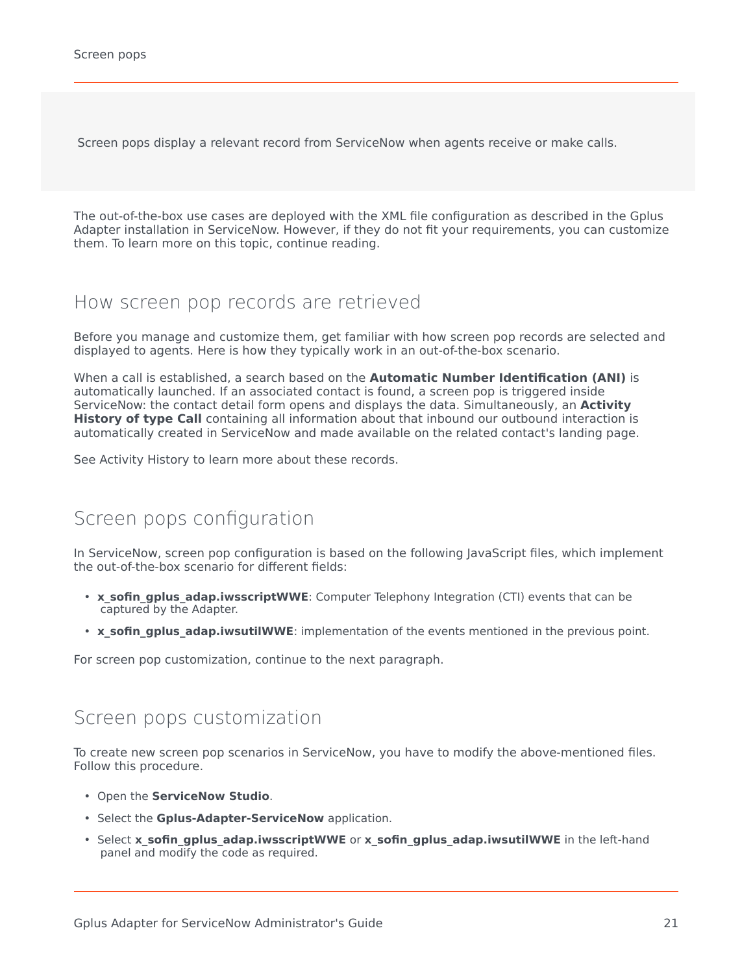Screen pops display a relevant record from ServiceNow when agents receive or make calls.

The out-of-the-box use cases are deployed with the XML file configuration as described in the Gplus Adapter installation in ServiceNow. However, if they do not fit your requirements, you can customize them. To learn more on this topic, continue reading.

### <span id="page-20-0"></span>How screen pop records are retrieved

Before you manage and customize them, get familiar with how screen pop records are selected and displayed to agents. Here is how they typically work in an out-of-the-box scenario.

When a call is established, a search based on the **Automatic Number Identification (ANI)** is automatically launched. If an associated contact is found, a screen pop is triggered inside ServiceNow: the contact detail form opens and displays the data. Simultaneously, an **Activity History of type Call** containing all information about that inbound our outbound interaction is automatically created in ServiceNow and made available on the related contact's landing page.

See Activity History to learn more about these records.

### <span id="page-20-1"></span>Screen pops configuration

In ServiceNow, screen pop configuration is based on the following JavaScript files, which implement the out-of-the-box scenario for different fields:

- **x sofin qplus adap.iwsscriptWWE**: Computer Telephony Integration (CTI) events that can be captured by the Adapter.
- **x sofin gplus adap.iwsutilWWE**: implementation of the events mentioned in the previous point.

For screen pop customization, continue to the next paragraph.

#### <span id="page-20-2"></span>Screen pops customization

To create new screen pop scenarios in ServiceNow, you have to modify the above-mentioned files. Follow this procedure.

- Open the **ServiceNow Studio**.
- Select the **Gplus-Adapter-ServiceNow** application.
- Select x sofin gplus adap.iwsscriptWWE or x sofin gplus adap.iwsutilWWE in the left-hand panel and modify the code as required.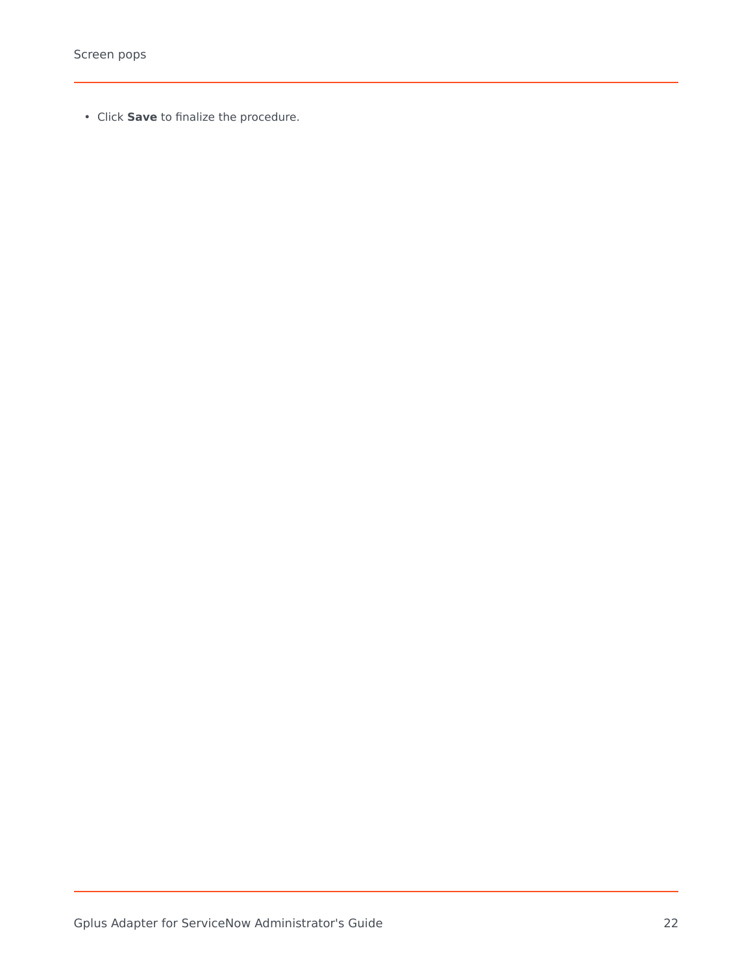• Click **Save** to finalize the procedure.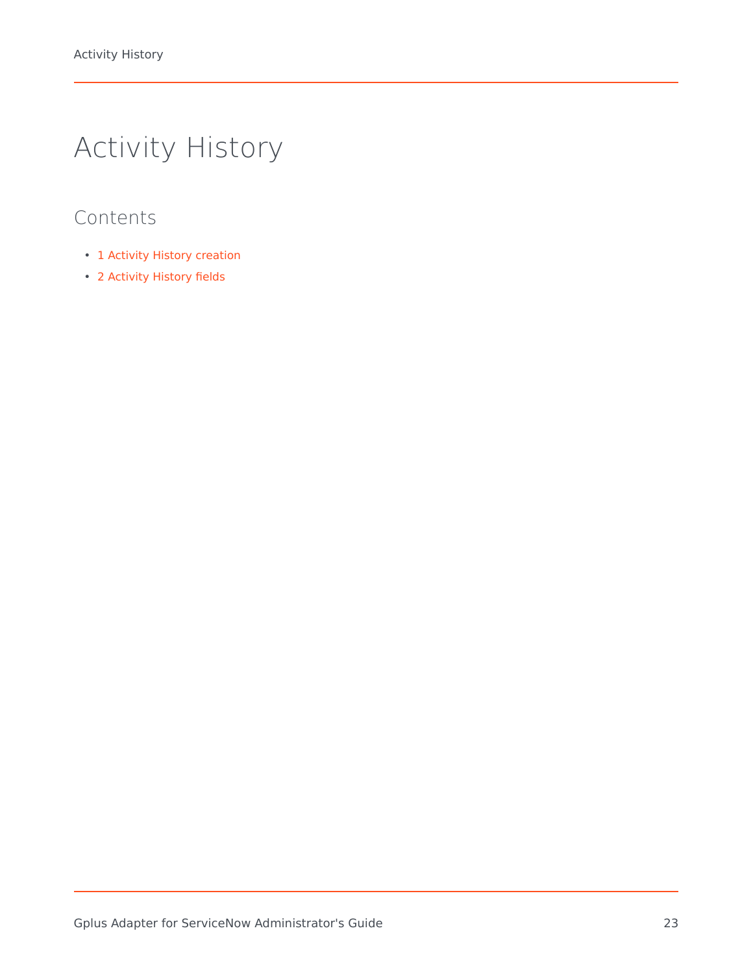# <span id="page-22-0"></span>Activity History

- 1 [Activity History creation](#page-23-0)
- 2 [Activity History fields](#page-23-1)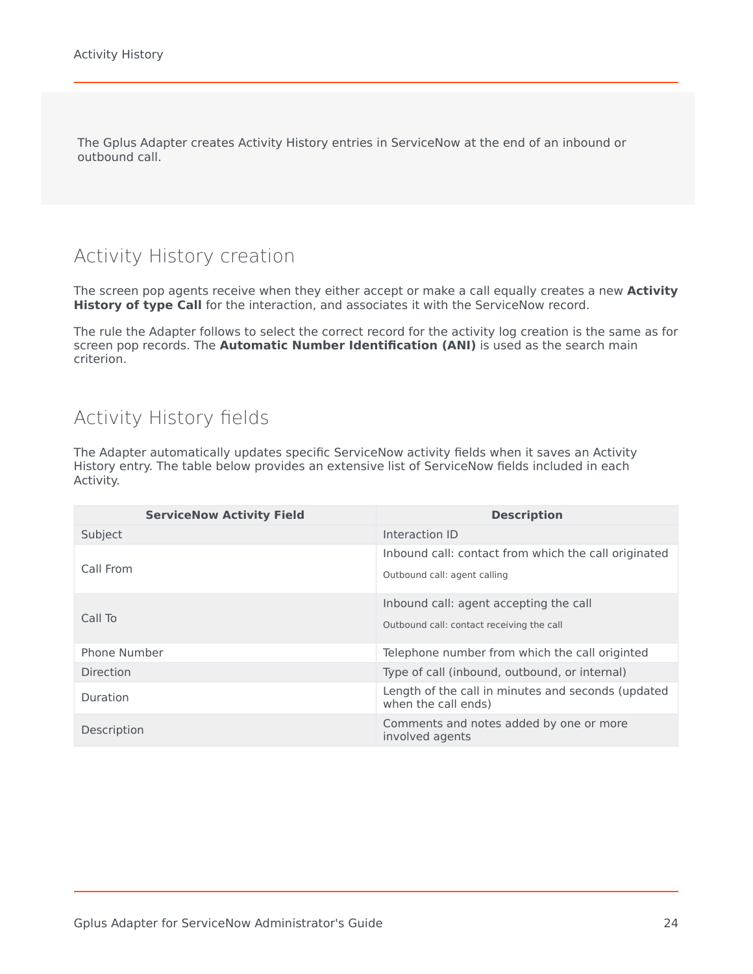The Gplus Adapter creates Activity History entries in ServiceNow at the end of an inbound or outbound call.

# <span id="page-23-0"></span>Activity History creation

The screen pop agents receive when they either accept or make a call equally creates a new **Activity** History of type Call for the interaction, and associates it with the ServiceNow record.

The rule the Adapter follows to select the correct record for the activity log creation is the same as for screen pop records. The **Automatic Number Identification (ANI)** is used as the search main criterion.

# <span id="page-23-1"></span>Activity History fields

The Adapter automatically updates specific ServiceNow activity fields when it saves an Activity History entry. The table below provides an extensive list of ServiceNow fields included in each Activity.

| <b>ServiceNow Activity Field</b> | <b>Description</b>                                                        |
|----------------------------------|---------------------------------------------------------------------------|
| Subject                          | Interaction ID                                                            |
|                                  | Inbound call: contact from which the call originated                      |
| Call From                        | Outbound call: agent calling                                              |
|                                  | Inbound call: agent accepting the call                                    |
| Call To                          | Outbound call: contact receiving the call                                 |
| Phone Number                     | Telephone number from which the call originted                            |
| Direction                        | Type of call (inbound, outbound, or internal)                             |
| Duration                         | Length of the call in minutes and seconds (updated<br>when the call ends) |
| Description                      | Comments and notes added by one or more<br>involved agents                |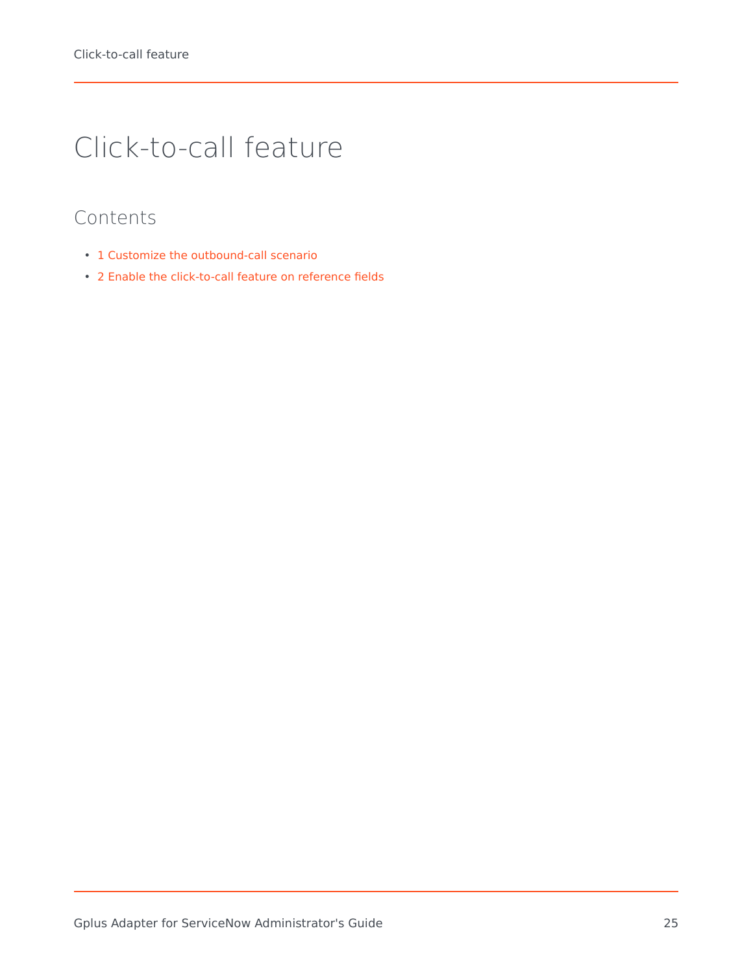# <span id="page-24-0"></span>Click-to-call feature

- 1 [Customize the outbound-call scenario](#page-25-0)
- 2 [Enable the click-to-call feature on reference fields](#page-27-0)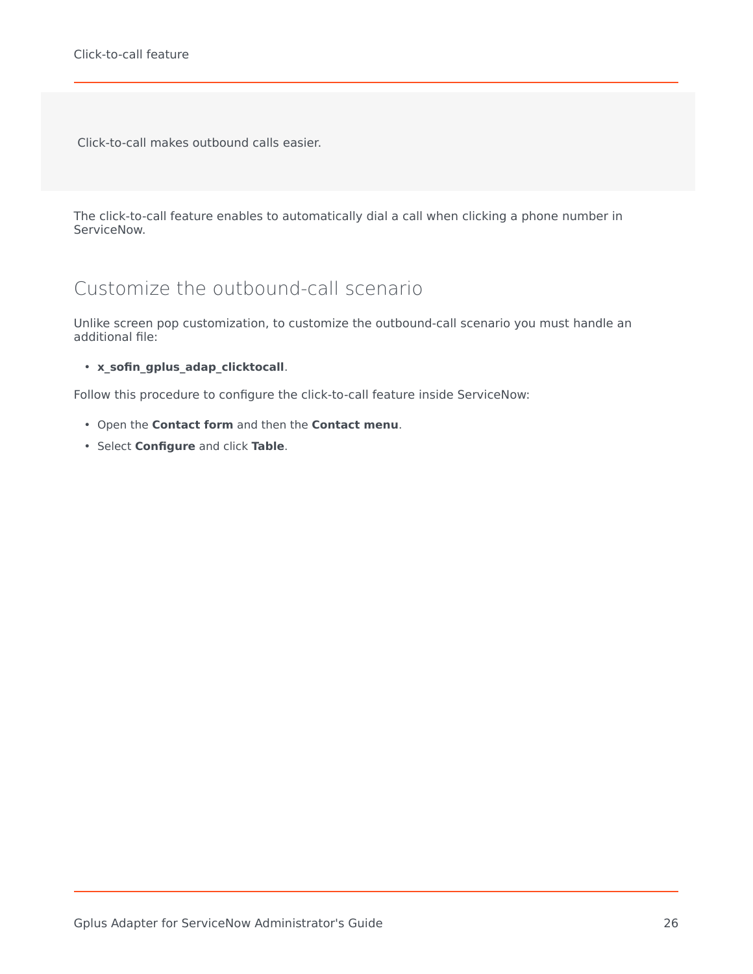Click-to-call makes outbound calls easier.

The click-to-call feature enables to automatically dial a call when clicking a phone number in ServiceNow.

# <span id="page-25-0"></span>Customize the outbound-call scenario

Unlike screen pop customization, to customize the outbound-call scenario you must handle an additional file:

• **x\_sofin\_gplus\_adap\_clicktocall**.

Follow this procedure to configure the click-to-call feature inside ServiceNow:

- Open the **Contact form** and then the **Contact menu**.
- Select **Configure** and click **Table**.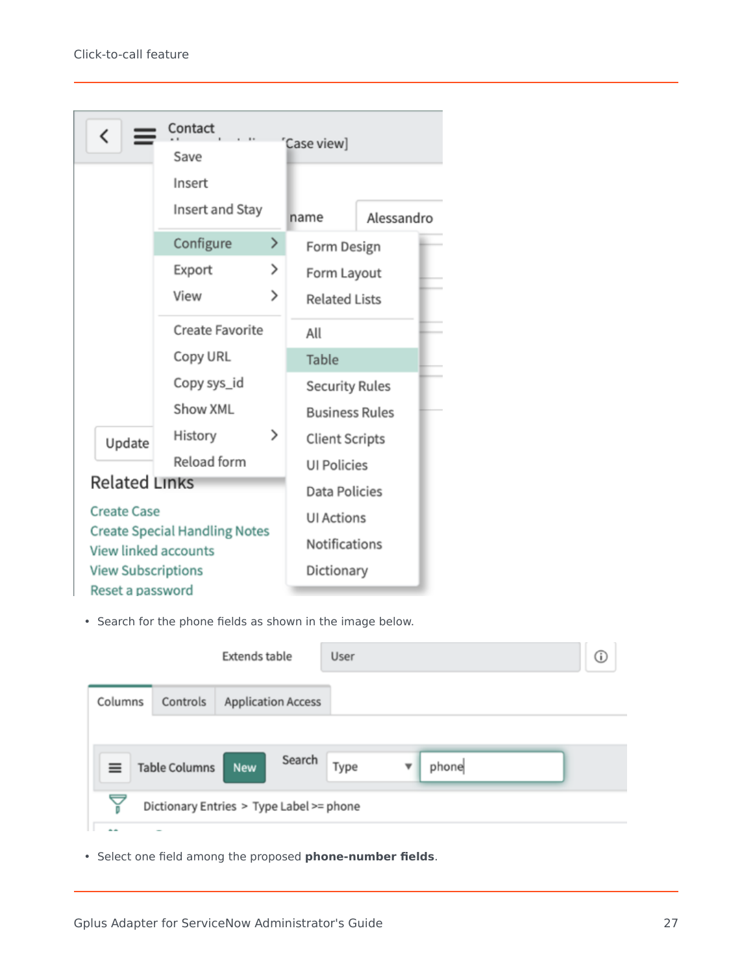| K                                                                                         | Contact                |   | Case view]            |            |
|-------------------------------------------------------------------------------------------|------------------------|---|-----------------------|------------|
|                                                                                           | Save                   |   |                       |            |
|                                                                                           | Insert                 |   |                       |            |
|                                                                                           | Insert and Stay        |   | name                  | Alessandro |
|                                                                                           | Configure              | ≻ | Form Design           |            |
|                                                                                           | Export                 | ⋋ | Form Layout           |            |
|                                                                                           | View                   | ⋋ | <b>Related Lists</b>  |            |
|                                                                                           | <b>Create Favorite</b> |   | All                   |            |
|                                                                                           | Copy URL               |   | <b>Table</b>          |            |
|                                                                                           | Copy sys_id            |   | <b>Security Rules</b> |            |
|                                                                                           | Show XML               |   | <b>Business Rules</b> |            |
| Update                                                                                    | History                | ⋋ | <b>Client Scripts</b> |            |
|                                                                                           | Reload form            |   | <b>UI Policies</b>    |            |
| <b>Related Links</b>                                                                      |                        |   | <b>Data Policies</b>  |            |
| <b>Create Case</b><br><b>Create Special Handling Notes</b><br><b>View linked accounts</b> |                        |   | <b>UI Actions</b>     |            |
|                                                                                           |                        |   | Notifications         |            |
| <b>View Subscriptions</b>                                                                 |                        |   | Dictionary            |            |
| Reset a password                                                                          |                        |   |                       |            |

• Search for the phone fields as shown in the image below.

|         |                      | <b>Extends table</b>                     | User |       | (i) |
|---------|----------------------|------------------------------------------|------|-------|-----|
| Columns | Controls             | <b>Application Access</b>                |      |       |     |
|         |                      |                                          |      |       |     |
|         | <b>Table Columns</b> | Search<br>New                            | Type | phone |     |
| Ā       |                      | Dictionary Entries > Type Label >= phone |      |       |     |
|         |                      |                                          |      |       |     |

• Select one field among the proposed **phone-number fields**.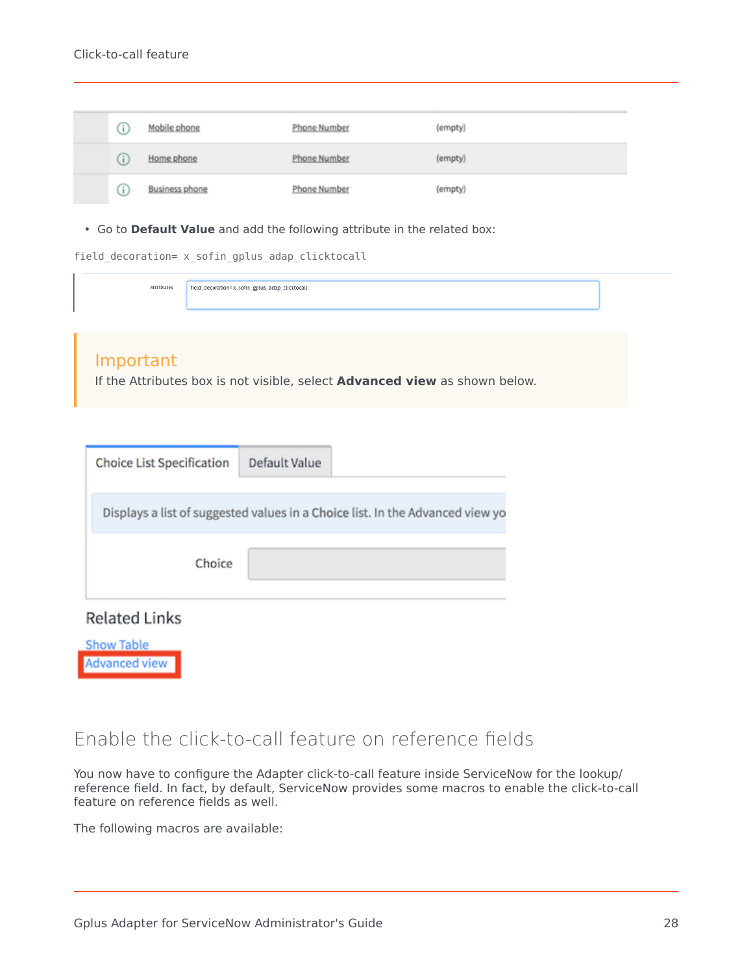#### Click-to-call feature

|  | Mobile phone          | Phone Number | (empty) |
|--|-----------------------|--------------|---------|
|  | Home phone            | Phone Number | (empty) |
|  | <b>Business phone</b> | Phone Number | (empty) |

• Go to **Default Value** and add the following attribute in the related box:

| field_decoration= x_sofin_gplus_adap_clicktocall |  |  |  |
|--------------------------------------------------|--|--|--|
|                                                  |  |  |  |

Attributes field\_decoration=x\_sofin\_gplus\_adap\_clicktocall

#### Important

If the Attributes box is not visible, select **Advanced view** as shown below.

| Choice List Specification                                                     | Default Value |  |  |  |  |  |  |
|-------------------------------------------------------------------------------|---------------|--|--|--|--|--|--|
| Displays a list of suggested values in a Choice list. In the Advanced view yo |               |  |  |  |  |  |  |
| Choice                                                                        |               |  |  |  |  |  |  |
| <b>Related Links</b>                                                          |               |  |  |  |  |  |  |
| <b>Show Table</b><br><b>Advanced view</b>                                     |               |  |  |  |  |  |  |

## <span id="page-27-0"></span>Enable the click-to-call feature on reference fields

You now have to configure the Adapter click-to-call feature inside ServiceNow for the lookup/ reference field. In fact, by default, ServiceNow provides some macros to enable the click-to-call feature on reference fields as well.

The following macros are available: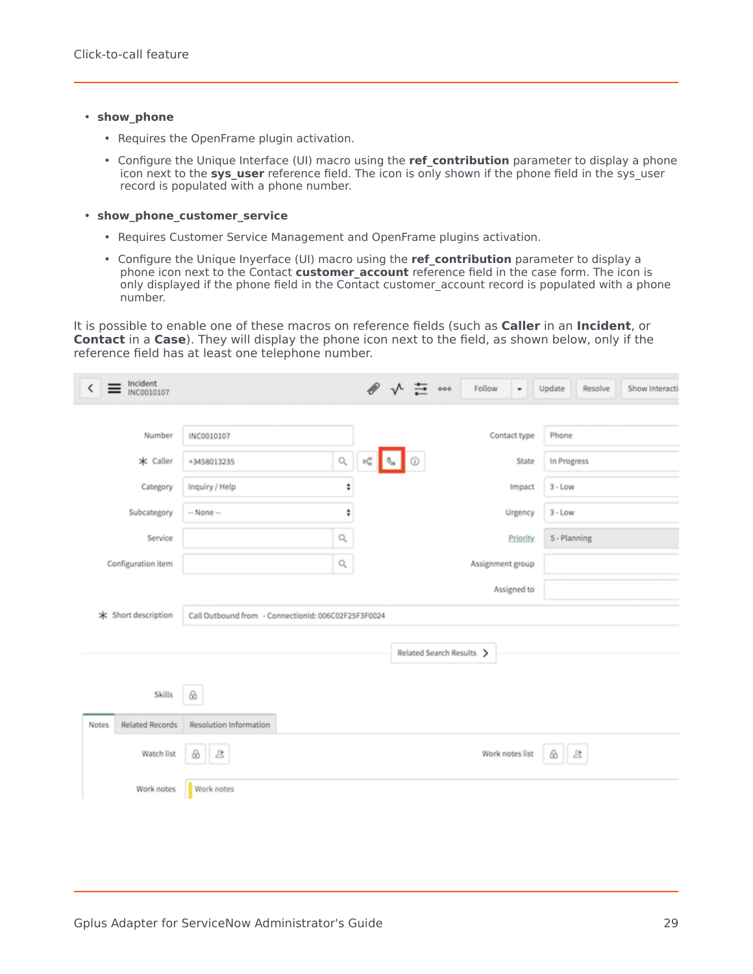#### • **show\_phone**

- Requires the OpenFrame plugin activation.
- Configure the Unique Interface (UI) macro using the **ref contribution** parameter to display a phone icon next to the **sys\_user** reference field. The icon is only shown if the phone field in the sys\_user record is populated with a phone number.

#### • **show\_phone\_customer\_service**

- Requires Customer Service Management and OpenFrame plugins activation.
- Configure the Unique Inyerface (UI) macro using the **ref contribution** parameter to display a phone icon next to the Contact **customer account** reference field in the case form. The icon is only displayed if the phone field in the Contact customer\_account record is populated with a phone number.

It is possible to enable one of these macros on reference fields (such as **Caller** in an **Incident**, or **Contact** in a **Case**). They will display the phone icon next to the field, as shown below, only if the reference field has at least one telephone number.

| Incident<br>INC0010107<br>K     |                                                     |                      |                      | $\mathscr{D}$ $\mathsf{v}$ $\mathsf{u}$ $\mathsf{v}$ $\circ$ | Follow           |                 | Update       | Resolve | Show Interacti |
|---------------------------------|-----------------------------------------------------|----------------------|----------------------|--------------------------------------------------------------|------------------|-----------------|--------------|---------|----------------|
|                                 |                                                     |                      |                      |                                                              |                  |                 |              |         |                |
| Number                          | INC0010107                                          |                      |                      |                                                              |                  | Contact type    | Phone        |         |                |
| * Caller                        | +3458013235                                         | $\hbox{\large\it Q}$ | $\mathbb{H}^0_0$     |                                                              |                  | State           | In Progress  |         |                |
| Category                        | Inquiry / Help                                      | ÷                    |                      |                                                              |                  | Impact          | $3 - Low$    |         |                |
| Subcategory                     | -- None --                                          | ÷                    | Urgency<br>$3 - Low$ |                                                              |                  |                 |              |         |                |
| Service                         |                                                     | $\alpha$             |                      |                                                              |                  | <b>Priority</b> | 5 - Planning |         |                |
| Configuration item              |                                                     | $\hbox{\large\it Q}$ |                      |                                                              | Assignment group |                 |              |         |                |
|                                 |                                                     |                      |                      |                                                              |                  | Assigned to     |              |         |                |
| * Short description             | Call Outbound from - ConnectionId: 006C02F25F3F0024 |                      |                      |                                                              |                  |                 |              |         |                |
|                                 |                                                     |                      |                      | Related Search Results >                                     |                  |                 |              |         |                |
| Skills                          | $\otimes$                                           |                      |                      |                                                              |                  |                 |              |         |                |
| <b>Related Records</b><br>Notes | Resolution Information                              |                      |                      |                                                              |                  |                 |              |         |                |
| Watch list                      | 送<br>$\bigcirc$                                     |                      |                      |                                                              | Work notes list  |                 | 88           |         |                |
| Work notes                      | Work notes                                          |                      |                      |                                                              |                  |                 |              |         |                |